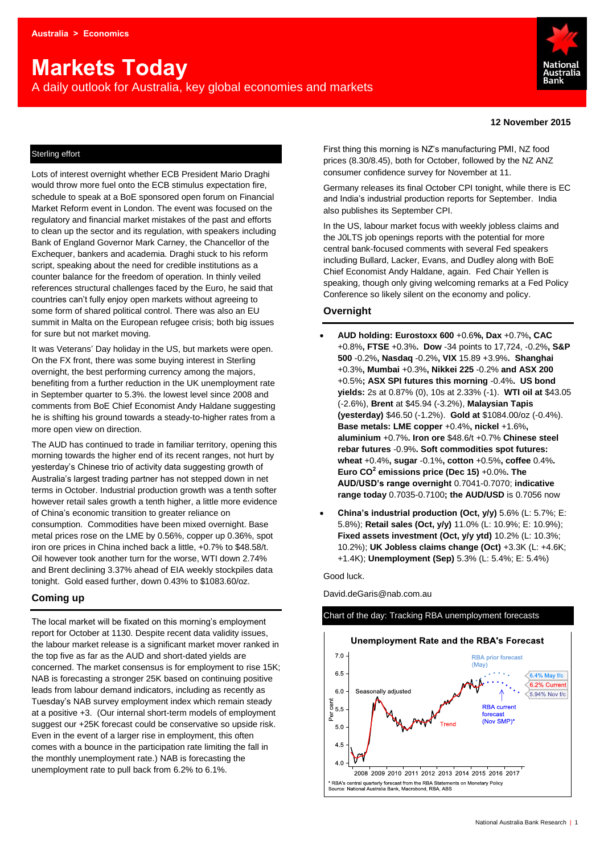# **Markets Today**

A daily outlook for Australia, key global economies and markets



#### **12 November 2015**

### Sterling effort

Lots of interest overnight whether ECB President Mario Draghi would throw more fuel onto the ECB stimulus expectation fire, schedule to speak at a BoE sponsored open forum on Financial Market Reform event in London. The event was focused on the regulatory and financial market mistakes of the past and efforts to clean up the sector and its regulation, with speakers including Bank of England Governor Mark Carney, the Chancellor of the Exchequer, bankers and academia. Draghi stuck to his reform script, speaking about the need for credible institutions as a counter balance for the freedom of operation. In thinly veiled references structural challenges faced by the Euro, he said that countries can't fully enjoy open markets without agreeing to some form of shared political control. There was also an EU summit in Malta on the European refugee crisis; both big issues for sure but not market moving.

It was Veterans' Day holiday in the US, but markets were open. On the FX front, there was some buying interest in Sterling overnight, the best performing currency among the majors, benefiting from a further reduction in the UK unemployment rate in September quarter to 5.3%. the lowest level since 2008 and comments from BoE Chief Economist Andy Haldane suggesting he is shifting his ground towards a steady-to-higher rates from a more open view on direction.

The AUD has continued to trade in familiar territory, opening this morning towards the higher end of its recent ranges, not hurt by yesterday's Chinese trio of activity data suggesting growth of Australia's largest trading partner has not stepped down in net terms in October. Industrial production growth was a tenth softer however retail sales growth a tenth higher, a little more evidence of China's economic transition to greater reliance on consumption. Commodities have been mixed overnight. Base metal prices rose on the LME by 0.56%, copper up 0.36%, spot iron ore prices in China inched back a little, +0.7% to \$48.58/t. Oil however took another turn for the worse, WTI down 2.74% and Brent declining 3.37% ahead of EIA weekly stockpiles data tonight. Gold eased further, down 0.43% to \$1083.60/oz.

# **Coming up**

The local market will be fixated on this morning's employment report for October at 1130. Despite recent data validity issues, the labour market release is a significant market mover ranked in the top five as far as the AUD and short-dated yields are concerned. The market consensus is for employment to rise 15K; NAB is forecasting a stronger 25K based on continuing positive leads from labour demand indicators, including as recently as Tuesday's NAB survey employment index which remain steady at a positive +3. (Our internal short-term models of employment suggest our +25K forecast could be conservative so upside risk. Even in the event of a larger rise in employment, this often comes with a bounce in the participation rate limiting the fall in the monthly unemployment rate.) NAB is forecasting the unemployment rate to pull back from 6.2% to 6.1%.

First thing this morning is NZ's manufacturing PMI, NZ food prices (8.30/8.45), both for October, followed by the NZ ANZ consumer confidence survey for November at 11.

Germany releases its final October CPI tonight, while there is EC and India's industrial production reports for September. India also publishes its September CPI.

In the US, labour market focus with weekly jobless claims and the J0LTS job openings reports with the potential for more central bank-focused comments with several Fed speakers including Bullard, Lacker, Evans, and Dudley along with BoE Chief Economist Andy Haldane, again. Fed Chair Yellen is speaking, though only giving welcoming remarks at a Fed Policy Conference so likely silent on the economy and policy.

# **Overnight**

- **AUD holding: Eurostoxx 600** +0.6**%, Dax** +0.7%**, CAC**  +0.8%**, FTSE** +0.3%**. Dow** -34 points to 17,724, -0.2%**, S&P 500** -0.2%**, Nasdaq** -0.2%**, VIX** 15.89 +3.9%**. Shanghai**  +0.3%**, Mumbai** +0.3%**, Nikkei 225** -0.2% **and ASX 200** +0.5%**; ASX SPI futures this morning** -0.4%**. US bond yields:** 2s at 0.87% (0), 10s at 2.33% (-1). **WTI oil at** \$43.05 (-2.6%), **Brent** at \$45.94 (-3.2%), **Malaysian Tapis (yesterday)** \$46.50 (-1.2%). **Gold at** \$1084.00/oz (-0.4%). **Base metals: LME copper** +0.4%**, nickel** +1.6%**, aluminium** +0.7%**. Iron ore** \$48.6/t +0.7% **Chinese steel rebar futures** -0.9%**. Soft commodities spot futures: wheat** +0.4%**, sugar** -0.1%**, cotton** +0.5%**, coffee** 0.4%**. Euro CO<sup>2</sup> emissions price (Dec 15)** +0.0%**. The AUD/USD's range overnight** 0.7041-0.7070; **indicative range today** 0.7035-0.7100**; the AUD/USD** is 0.7056 now
- **China's industrial production (Oct, y/y)** 5.6% (L: 5.7%; E: 5.8%); **Retail sales (Oct, y/y)** 11.0% (L: 10.9%; E: 10.9%); **Fixed assets investment (Oct, y/y ytd)** 10.2% (L: 10.3%; 10.2%); **UK Jobless claims change (Oct)** +3.3K (L: +4.6K; +1.4K); **Unemployment (Sep)** 5.3% (L: 5.4%; E: 5.4%)

Good luck.

David.deGaris@nab.com.au



# Chart of the day: Tracking RBA unemployment forecasts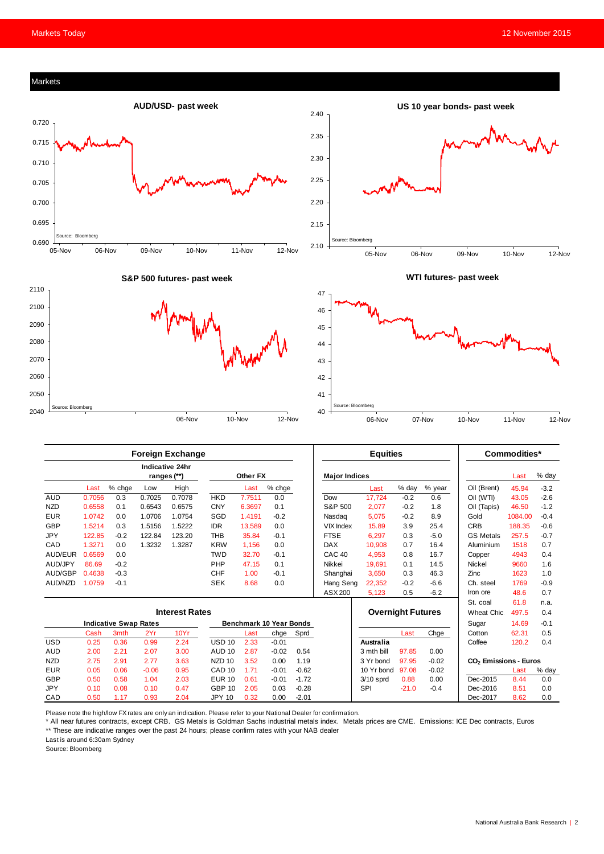











|                              | <b>Foreign Exchange</b> |        |         |                                       |                   |          |         |         | <b>Equities</b>          |             |         |             | Commodities*                      |         |        |
|------------------------------|-------------------------|--------|---------|---------------------------------------|-------------------|----------|---------|---------|--------------------------|-------------|---------|-------------|-----------------------------------|---------|--------|
|                              |                         |        |         | <b>Indicative 24hr</b><br>ranges (**) |                   | Other FX |         |         | <b>Major Indices</b>     |             |         |             |                                   | Last    | % day  |
|                              | Last                    | % chge | Low     | High                                  |                   | Last     | % chge  |         |                          | Last        | % day   | % year      | Oil (Brent)                       | 45.94   | $-3.2$ |
| <b>AUD</b>                   | 0.7056                  | 0.3    | 0.7025  | 0.7078                                | <b>HKD</b>        | 7.7511   | 0.0     |         | Dow                      | 17.724      | $-0.2$  | 0.6         | Oil (WTI)                         | 43.05   | $-2.6$ |
| <b>NZD</b>                   | 0.6558                  | 0.1    | 0.6543  | 0.6575                                | <b>CNY</b>        | 6.3697   | 0.1     |         | S&P 500                  | 2,077       | $-0.2$  | 1.8         | Oil (Tapis)                       | 46.50   | $-1.2$ |
| <b>EUR</b>                   | 1.0742                  | 0.0    | 1.0706  | 1.0754                                | SGD               | 1.4191   | $-0.2$  |         | Nasdag                   | 5,075       | $-0.2$  | 8.9         | Gold                              | 1084.00 | $-0.4$ |
| GBP                          | 1.5214                  | 0.3    | 1.5156  | 1.5222                                | <b>IDR</b>        | 13.589   | 0.0     |         | <b>VIX Index</b>         | 15.89       | 3.9     | 25.4        | <b>CRB</b>                        | 188.35  | $-0.6$ |
| <b>JPY</b>                   | 122.85                  | $-0.2$ | 122.84  | 123.20                                | <b>THB</b>        | 35.84    | $-0.1$  |         | <b>FTSE</b>              | 6,297       | 0.3     | $-5.0$      | <b>GS Metals</b>                  | 257.5   | $-0.7$ |
| CAD                          | 1.3271                  | 0.0    | 1.3232  | 1.3287                                | <b>KRW</b>        | 1,156    | 0.0     |         | <b>DAX</b>               | 10,908      | 0.7     | 16.4        | Aluminium                         | 1518    | 0.7    |
| AUD/EUR                      | 0.6569                  | 0.0    |         |                                       | <b>TWD</b>        | 32.70    | $-0.1$  |         | CAC <sub>40</sub>        | 4,953       | 0.8     | 16.7        | Copper                            | 4943    | 0.4    |
| AUD/JPY                      | 86.69                   | $-0.2$ |         |                                       | PHP               | 47.15    | 0.1     |         | Nikkei                   | 19.691      | 0.1     | 14.5        | <b>Nickel</b>                     | 9660    | 1.6    |
| AUD/GBP                      | 0.4638                  | $-0.3$ |         |                                       | <b>CHF</b>        | 1.00     | $-0.1$  |         | Shanghai                 | 3,650       | 0.3     | 46.3        | Zinc                              | 1623    | 1.0    |
| AUD/NZD                      | 1.0759                  | $-0.1$ |         |                                       | <b>SEK</b>        | 8.68     | 0.0     |         | Hang Seng                | 22,352      | $-0.2$  | $-6.6$      | Ch. steel                         | 1769    | $-0.9$ |
|                              |                         |        |         |                                       |                   |          |         |         | ASX 200                  | 5,123       | 0.5     | $-6.2$      | Iron ore                          | 48.6    | 0.7    |
|                              |                         |        |         |                                       |                   |          |         |         |                          |             |         |             | St. coal                          | 61.8    | n.a.   |
| <b>Interest Rates</b>        |                         |        |         |                                       |                   |          |         |         | <b>Overnight Futures</b> |             |         | Wheat Chic. | 497.5                             | 0.4     |        |
| <b>Indicative Swap Rates</b> |                         |        |         | <b>Benchmark 10 Year Bonds</b>        |                   |          |         |         |                          |             | Sugar   | 14.69       | $-0.1$                            |         |        |
|                              | Cash                    | 3mth   | 2Yr     | 10Yr                                  |                   | Last     | chge    | Sprd    |                          |             | Last    | Chge        | Cotton                            | 62.31   | 0.5    |
| <b>USD</b>                   | 0.25                    | 0.36   | 0.99    | 2.24                                  | <b>USD 10</b>     | 2.33     | $-0.01$ |         |                          | Australia   |         |             | Coffee                            | 120.2   | 0.4    |
| <b>AUD</b>                   | 2.00                    | 2.21   | 2.07    | 3.00                                  | <b>AUD 10</b>     | 2.87     | $-0.02$ | 0.54    |                          | 3 mth bill  | 97.85   | 0.00        |                                   |         |        |
| <b>NZD</b>                   | 2.75                    | 2.91   | 2.77    | 3.63                                  | NZD <sub>10</sub> | 3.52     | 0.00    | 1.19    |                          | 3 Yr bond   | 97.95   | $-0.02$     | CO <sub>2</sub> Emissions - Euros |         |        |
| <b>EUR</b>                   | 0.05                    | 0.06   | $-0.06$ | 0.95                                  | CAD <sub>10</sub> | 1.71     | $-0.01$ | $-0.62$ |                          | 10 Yr bond  | 97.08   | $-0.02$     |                                   | Last    | % day  |
| GBP                          | 0.50                    | 0.58   | 1.04    | 2.03                                  | <b>EUR 10</b>     | 0.61     | $-0.01$ | $-1.72$ |                          | $3/10$ sprd | 0.88    | 0.00        | Dec-2015                          | 8.44    | 0.0    |
| <b>JPY</b>                   | 0.10                    | 0.08   | 0.10    | 0.47                                  | <b>GBP 10</b>     | 2.05     | 0.03    | $-0.28$ |                          | SPI         | $-21.0$ | $-0.4$      | Dec-2016                          | 8.51    | 0.0    |
| CAD                          | 0.50                    | 1.17   | 0.93    | 2.04                                  | <b>JPY 10</b>     | 0.32     | 0.00    | $-2.01$ |                          |             |         |             | Dec-2017                          | 8.62    | 0.0    |

Please note the high/low FX rates are only an indication. Please refer to your National Dealer for confirmation.

\* All near futures contracts, except CRB. GS Metals is Goldman Sachs industrial metals index. Metals prices are CME. Emissions: ICE Dec contracts, Euros \*\* These are indicative ranges over the past 24 hours; please confirm rates with your NAB dealer

Last is around 6:30am Sydney

Source: Bloomberg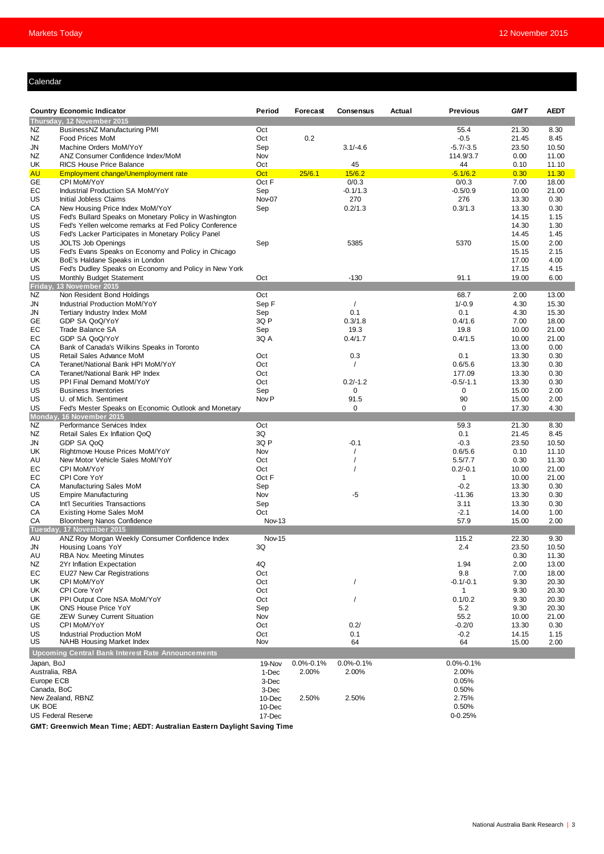# Calendar

|                | <b>Country Economic Indicator</b>                                                                              | Period           | Forecast        | <b>Consensus</b>     | Actual | <b>Previous</b>             | <b>GMT</b>     | <b>AEDT</b>    |
|----------------|----------------------------------------------------------------------------------------------------------------|------------------|-----------------|----------------------|--------|-----------------------------|----------------|----------------|
|                | Thursday, 12 November 2015                                                                                     |                  |                 |                      |        |                             |                |                |
| NZ             | BusinessNZ Manufacturing PMI                                                                                   | Oct              |                 |                      |        | 55.4                        | 21.30          | 8.30           |
| ΝZ             | Food Prices MoM                                                                                                | Oct              | 0.2             |                      |        | $-0.5$                      | 21.45          | 8.45           |
| JN             | Machine Orders MoM/YoY                                                                                         | Sep              |                 | $3.1/-4.6$           |        | $-5.7/-3.5$                 | 23.50          | 10.50          |
| ΝZ             | ANZ Consumer Confidence Index/MoM                                                                              | Nov              |                 |                      |        | 114.9/3.7                   | 0.00           | 11.00          |
| UK             | <b>RICS House Price Balance</b>                                                                                | Oct              |                 | 45                   |        | 44                          | 0.10           | 11.10          |
| <b>AU</b>      | Employment change/Unemployment rate                                                                            | Oct              | 25/6.1          | 15/6.2               |        | $-5.1/6.2$                  | 0.30           | 11.30          |
| GE             | CPI MoM/YoY                                                                                                    | Oct F            |                 | 0/0.3                |        | 0/0.3                       | 7.00           | 18.00          |
| EC             | Industrial Production SA MoM/YoY                                                                               | Sep              |                 | $-0.1/1.3$           |        | $-0.5/0.9$                  | 10.00          | 21.00          |
| US             | Initial Jobless Claims                                                                                         | Nov-07           |                 | 270                  |        | 276                         | 13.30          | 0.30           |
| СA             | New Housing Price Index MoM/YoY                                                                                | Sep              |                 | 0.2/1.3              |        | 0.3/1.3                     | 13.30          | 0.30           |
| US<br>US       | Fed's Bullard Speaks on Monetary Policy in Washington<br>Fed's Yellen welcome remarks at Fed Policy Conference |                  |                 |                      |        |                             | 14.15<br>14.30 | 1.15<br>1.30   |
| US             | Fed's Lacker Participates in Monetary Policy Panel                                                             |                  |                 |                      |        |                             | 14.45          | 1.45           |
| US             | <b>JOLTS Job Openings</b>                                                                                      | Sep              |                 | 5385                 |        | 5370                        | 15.00          | 2.00           |
| US             | Fed's Evans Speaks on Economy and Policy in Chicago                                                            |                  |                 |                      |        |                             | 15.15          | 2.15           |
| UK             | BoE's Haldane Speaks in London                                                                                 |                  |                 |                      |        |                             | 17.00          | 4.00           |
| US             | Fed's Dudley Speaks on Economy and Policy in New York                                                          |                  |                 |                      |        |                             | 17.15          | 4.15           |
| US             | Monthly Budget Statement                                                                                       | Oct              |                 | $-130$               |        | 91.1                        | 19.00          | 6.00           |
| Friday,        | 13 November 2015                                                                                               |                  |                 |                      |        |                             |                |                |
| ΝZ             | Non Resident Bond Holdings                                                                                     | Oct              |                 |                      |        | 68.7                        | 2.00           | 13.00          |
| JN             | Industrial Production MoM/YoY                                                                                  | Sep F            |                 | $\sqrt{2}$           |        | $1/-0.9$                    | 4.30           | 15.30          |
| JN             | Tertiary Industry Index MoM                                                                                    | Sep              |                 | 0.1                  |        | 0.1                         | 4.30           | 15.30          |
| GЕ             | GDP SA QoQ/YoY                                                                                                 | 3Q P             |                 | 0.3/1.8              |        | 0.4/1.6                     | 7.00           | 18.00          |
| EС             | Trade Balance SA                                                                                               | Sep              |                 | 19.3                 |        | 19.8                        | 10.00          | 21.00          |
| EC<br>СA       | GDP SA QoQ/YoY<br>Bank of Canada's Wilkins Speaks in Toronto                                                   | 3Q A             |                 | 0.4/1.7              |        | 0.4/1.5                     | 10.00<br>13.00 | 21.00          |
| US             | Retail Sales Advance MoM                                                                                       | Oct              |                 | 0.3                  |        | 0.1                         | 13.30          | 0.00<br>0.30   |
| СA             | Teranet/National Bank HPI MoM/YoY                                                                              | Oct              |                 |                      |        | 0.6/5.6                     | 13.30          | 0.30           |
| СA             | Teranet/National Bank HP Index                                                                                 | Oct              |                 |                      |        | 177.09                      | 13.30          | 0.30           |
| US             | PPI Final Demand MoM/YoY                                                                                       | Oct              |                 | $0.2/-1.2$           |        | $-0.5/-1.1$                 | 13.30          | 0.30           |
| US             | <b>Business Inventories</b>                                                                                    | Sep              |                 | 0                    |        | 0                           | 15.00          | 2.00           |
| US             | U. of Mich. Sentiment                                                                                          | Nov <sub>P</sub> |                 | 91.5                 |        | 90                          | 15.00          | 2.00           |
| US             | Fed's Mester Speaks on Economic Outlook and Monetary                                                           |                  |                 | $\mathbf 0$          |        | $\mathbf 0$                 | 17.30          | 4.30           |
|                | Monday, 16 November 2015                                                                                       |                  |                 |                      |        |                             |                |                |
| NZ             | Performance Services Index                                                                                     | Oct              |                 |                      |        | 59.3                        | 21.30          | 8.30           |
| ΝZ             | Retail Sales Ex Inflation QoQ                                                                                  | 3Q               |                 |                      |        | 0.1                         | 21.45          | 8.45           |
| JN             | GDP SA QoQ                                                                                                     | 3Q P             |                 | $-0.1$               |        | $-0.3$                      | 23.50          | 10.50          |
| UK             | Rightmove House Prices MoM/YoY                                                                                 | Nov              |                 | $\prime$<br>$\prime$ |        | 0.6/5.6                     | 0.10           | 11.10          |
| AU<br>EС       | New Motor Vehicle Sales MoM/YoY<br>CPI MoM/YoY                                                                 | Oct<br>Oct       |                 |                      |        | 5.5/7.7<br>$0.2/-0.1$       | 0.30<br>10.00  | 11.30<br>21.00 |
| EС             | CPI Core YoY                                                                                                   | Oct F            |                 |                      |        | $\mathbf{1}$                | 10.00          | 21.00          |
| CА             | Manufacturing Sales MoM                                                                                        | Sep              |                 |                      |        | $-0.2$                      | 13.30          | 0.30           |
| US             | <b>Empire Manufacturing</b>                                                                                    | Nov              |                 | -5                   |        | $-11.36$                    | 13.30          | 0.30           |
| СA             | Int'l Securities Transactions                                                                                  | Sep              |                 |                      |        | 3.11                        | 13.30          | 0.30           |
| СA             | <b>Existing Home Sales MoM</b>                                                                                 | Oct              |                 |                      |        | $-2.1$                      | 14.00          | 1.00           |
| СA             | <b>Bloomberg Nanos Confidence</b>                                                                              | Nov-13           |                 |                      |        | 57.9                        | 15.00          | 2.00           |
|                | Tuesday, 17 November 2015                                                                                      |                  |                 |                      |        |                             |                |                |
| AU             | ANZ Roy Morgan Weekly Consumer Confidence Index                                                                | Nov-15           |                 |                      |        | 115.2                       | 22.30          | 9.30           |
| JN             | Housing Loans YoY                                                                                              | 3Q               |                 |                      |        | 2.4                         | 23.50          | 10.50          |
| AU             | RBA Nov. Meeting Minutes                                                                                       |                  |                 |                      |        |                             | 0.30           | 11.30          |
| ΝZ             | 2Yr Inflation Expectation                                                                                      | 4Q               |                 |                      |        | 1.94                        | 2.00           | 13.00          |
| EС             | <b>EU27 New Car Registrations</b>                                                                              | Oct              |                 |                      |        | 9.8                         | 7.00           | 18.00          |
| UK<br>UK       | CPI MoM/YoY<br>CPI Core YoY                                                                                    | Oct<br>Oct       |                 | $\prime$             |        | $-0.1/-0.1$<br>$\mathbf{1}$ | 9.30<br>9.30   | 20.30<br>20.30 |
| UK             | PPI Output Core NSA MoM/YoY                                                                                    | Oct              |                 | $\prime$             |        | 0.1/0.2                     | 9.30           | 20.30          |
| UK             | ONS House Price YoY                                                                                            | Sep              |                 |                      |        | 5.2                         | 9.30           | 20.30          |
| GE             | <b>ZEW Survey Current Situation</b>                                                                            | Nov              |                 |                      |        | 55.2                        | 10.00          | 21.00          |
| US             | CPI MoM/YoY                                                                                                    | Oct              |                 | 0.2/                 |        | $-0.2/0$                    | 13.30          | 0.30           |
| US             | <b>Industrial Production MoM</b>                                                                               | Oct              |                 | 0.1                  |        | $-0.2$                      | 14.15          | 1.15           |
| US             | NAHB Housing Market Index                                                                                      | Nov              |                 | 64                   |        | 64                          | 15.00          | 2.00           |
|                | <b>Upcoming Central Bank Interest Rate Announcements</b>                                                       |                  |                 |                      |        |                             |                |                |
| Japan, BoJ     |                                                                                                                | 19-Nov           | $0.0\% - 0.1\%$ | $0.0\% - 0.1\%$      |        | $0.0\% - 0.1\%$             |                |                |
| Australia, RBA |                                                                                                                | 1-Dec            | 2.00%           | 2.00%                |        | 2.00%                       |                |                |
| Europe ECB     |                                                                                                                | 3-Dec            |                 |                      |        | 0.05%                       |                |                |
| Canada, BoC    |                                                                                                                | 3-Dec            |                 |                      |        | 0.50%                       |                |                |
|                | New Zealand, RBNZ                                                                                              | 10-Dec           | 2.50%           | 2.50%                |        | 2.75%                       |                |                |
| UK BOE         |                                                                                                                | 10-Dec           |                 |                      |        | 0.50%                       |                |                |
|                | <b>US Federal Reserve</b>                                                                                      | 17-Dec           |                 |                      |        | 0-0.25%                     |                |                |

**GMT: Greenwich Mean Time; AEDT: Australian Eastern Daylight Saving Time**